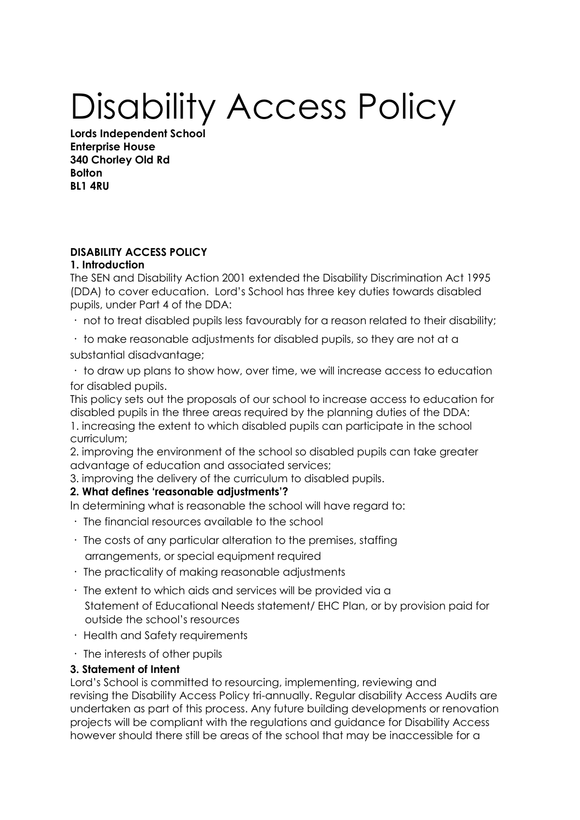# Disability Access Policy

**Lords Independent School Enterprise House 340 Chorley Old Rd Bolton BL1 4RU**

# **DISABILITY ACCESS POLICY**

## **1. Introduction**

The SEN and Disability Action 2001 extended the Disability Discrimination Act 1995 (DDA) to cover education. Lord's School has three key duties towards disabled pupils, under Part 4 of the DDA:

not to treat disabled pupils less favourably for a reason related to their disability;

 $\cdot$  to make reasonable adjustments for disabled pupils, so they are not at a substantial disadvantage;

to draw up plans to show how, over time, we will increase access to education for disabled pupils.

This policy sets out the proposals of our school to increase access to education for disabled pupils in the three areas required by the planning duties of the DDA: 1. increasing the extent to which disabled pupils can participate in the school curriculum;

2. improving the environment of the school so disabled pupils can take greater advantage of education and associated services;

3. improving the delivery of the curriculum to disabled pupils.

# **2. What defines 'reasonable adjustments'?**

In determining what is reasonable the school will have regard to:

- The financial resources available to the school
- $\cdot$  The costs of any particular alteration to the premises, staffing arrangements, or special equipment required
- $\cdot$  The practicality of making reasonable adjustments
- $\cdot$  The extent to which aids and services will be provided via a Statement of Educational Needs statement/ EHC Plan, or by provision paid for outside the school's resources
- Health and Safety requirements
- $\cdot$  The interests of other pupils

# **3. Statement of Intent**

Lord's School is committed to resourcing, implementing, reviewing and revising the Disability Access Policy tri-annually. Regular disability Access Audits are undertaken as part of this process. Any future building developments or renovation projects will be compliant with the regulations and guidance for Disability Access however should there still be areas of the school that may be inaccessible for a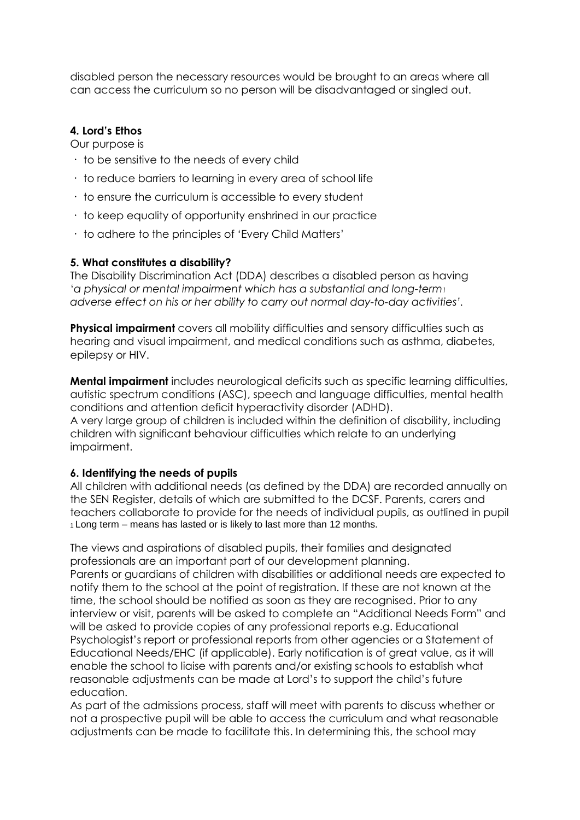disabled person the necessary resources would be brought to an areas where all can access the curriculum so no person will be disadvantaged or singled out.

## **4. Lord's Ethos**

Our purpose is

- $\cdot$  to be sensitive to the needs of every child
- $\cdot$  to reduce barriers to learning in every area of school life
- $\cdot$  to ensure the curriculum is accessible to every student
- to keep equality of opportunity enshrined in our practice
- to adhere to the principles of 'Every Child Matters'

#### **5. What constitutes a disability?**

The Disability Discrimination Act (DDA) describes a disabled person as having '*a physical or mental impairment which has a substantial and long-term<sup>1</sup> adverse effect on his or her ability to carry out normal day-to-day activities'.*

**Physical impairment** covers all mobility difficulties and sensory difficulties such as hearing and visual impairment, and medical conditions such as asthma, diabetes, epilepsy or HIV.

**Mental impairment** includes neurological deficits such as specific learning difficulties, autistic spectrum conditions (ASC), speech and language difficulties, mental health conditions and attention deficit hyperactivity disorder (ADHD). A very large group of children is included within the definition of disability, including children with significant behaviour difficulties which relate to an underlying impairment.

#### **6. Identifying the needs of pupils**

All children with additional needs (as defined by the DDA) are recorded annually on the SEN Register, details of which are submitted to the DCSF. Parents, carers and teachers collaborate to provide for the needs of individual pupils, as outlined in pupil <sup>1</sup>Long term – means has lasted or is likely to last more than 12 months.

The views and aspirations of disabled pupils, their families and designated professionals are an important part of our development planning. Parents or guardians of children with disabilities or additional needs are expected to notify them to the school at the point of registration. If these are not known at the time, the school should be notified as soon as they are recognised. Prior to any interview or visit, parents will be asked to complete an "Additional Needs Form" and will be asked to provide copies of any professional reports e.g. Educational Psychologist's report or professional reports from other agencies or a Statement of Educational Needs/EHC (if applicable). Early notification is of great value, as it will enable the school to liaise with parents and/or existing schools to establish what reasonable adjustments can be made at Lord's to support the child's future education.

As part of the admissions process, staff will meet with parents to discuss whether or not a prospective pupil will be able to access the curriculum and what reasonable adjustments can be made to facilitate this. In determining this, the school may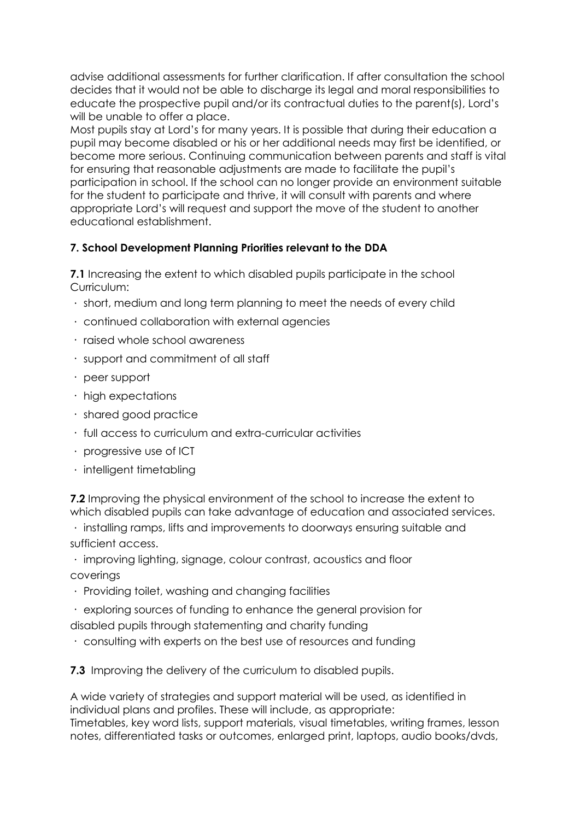advise additional assessments for further clarification. If after consultation the school decides that it would not be able to discharge its legal and moral responsibilities to educate the prospective pupil and/or its contractual duties to the parent(s), Lord's will be unable to offer a place.

Most pupils stay at Lord's for many years. It is possible that during their education a pupil may become disabled or his or her additional needs may first be identified, or become more serious. Continuing communication between parents and staff is vital for ensuring that reasonable adjustments are made to facilitate the pupil's participation in school. If the school can no longer provide an environment suitable for the student to participate and thrive, it will consult with parents and where appropriate Lord's will request and support the move of the student to another educational establishment.

# **7. School Development Planning Priorities relevant to the DDA**

**7.1** Increasing the extent to which disabled pupils participate in the school Curriculum:

- short, medium and long term planning to meet the needs of every child
- continued collaboration with external agencies
- · raised whole school awareness
- support and commitment of all staff
- peer support
- $\cdot$  high expectations
- shared good practice
- full access to curriculum and extra-curricular activities
- progressive use of ICT
- $\cdot$  intelligent timetabling

**7.2** Improving the physical environment of the school to increase the extent to which disabled pupils can take advantage of education and associated services.

installing ramps, lifts and improvements to doorways ensuring suitable and sufficient access.

improving lighting, signage, colour contrast, acoustics and floor coverings

- Providing toilet, washing and changing facilities
- exploring sources of funding to enhance the general provision for
- disabled pupils through statementing and charity funding
- consulting with experts on the best use of resources and funding

**7.3** Improving the delivery of the curriculum to disabled pupils.

A wide variety of strategies and support material will be used, as identified in individual plans and profiles. These will include, as appropriate: Timetables, key word lists, support materials, visual timetables, writing frames, lesson notes, differentiated tasks or outcomes, enlarged print, laptops, audio books/dvds,